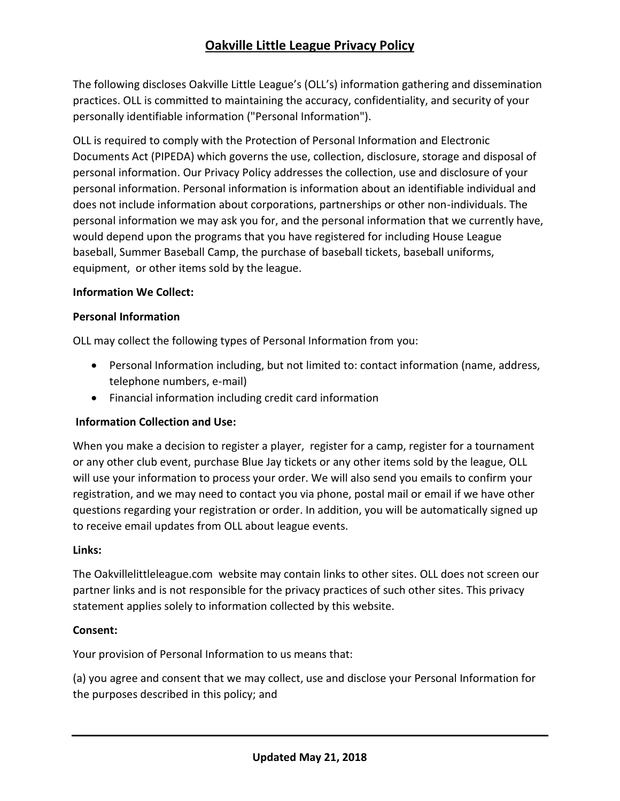# **Oakville Little League Privacy Policy**

The following discloses Oakville Little League's (OLL's) information gathering and dissemination practices. OLL is committed to maintaining the accuracy, confidentiality, and security of your personally identifiable information ("Personal Information").

OLL is required to comply with the Protection of Personal Information and Electronic Documents Act (PIPEDA) which governs the use, collection, disclosure, storage and disposal of personal information. Our Privacy Policy addresses the collection, use and disclosure of your personal information. Personal information is information about an identifiable individual and does not include information about corporations, partnerships or other non-individuals. The personal information we may ask you for, and the personal information that we currently have, would depend upon the programs that you have registered for including House League baseball, Summer Baseball Camp, the purchase of baseball tickets, baseball uniforms, equipment, or other items sold by the league.

### **Information We Collect:**

#### **Personal Information**

OLL may collect the following types of Personal Information from you:

- Personal Information including, but not limited to: contact information (name, address, telephone numbers, e-mail)
- Financial information including credit card information

### **Information Collection and Use:**

When you make a decision to register a player, register for a camp, register for a tournament or any other club event, purchase Blue Jay tickets or any other items sold by the league, OLL will use your information to process your order. We will also send you emails to confirm your registration, and we may need to contact you via phone, postal mail or email if we have other questions regarding your registration or order. In addition, you will be automatically signed up to receive email updates from OLL about league events.

### **Links:**

The Oakvillelittleleague.com website may contain links to other sites. OLL does not screen our partner links and is not responsible for the privacy practices of such other sites. This privacy statement applies solely to information collected by this website.

### **Consent:**

Your provision of Personal Information to us means that:

(a) you agree and consent that we may collect, use and disclose your Personal Information for the purposes described in this policy; and